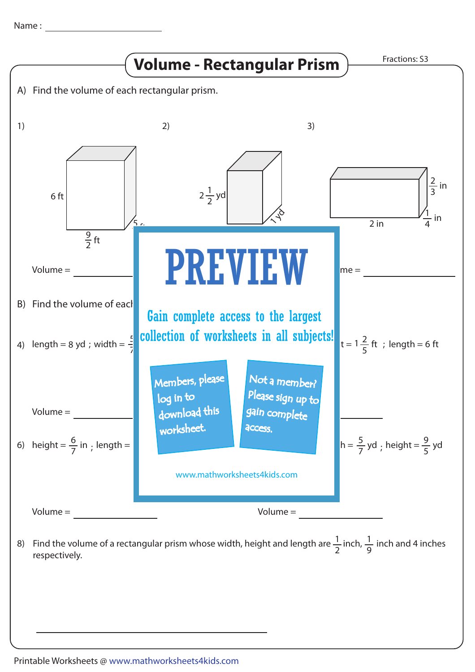Name :